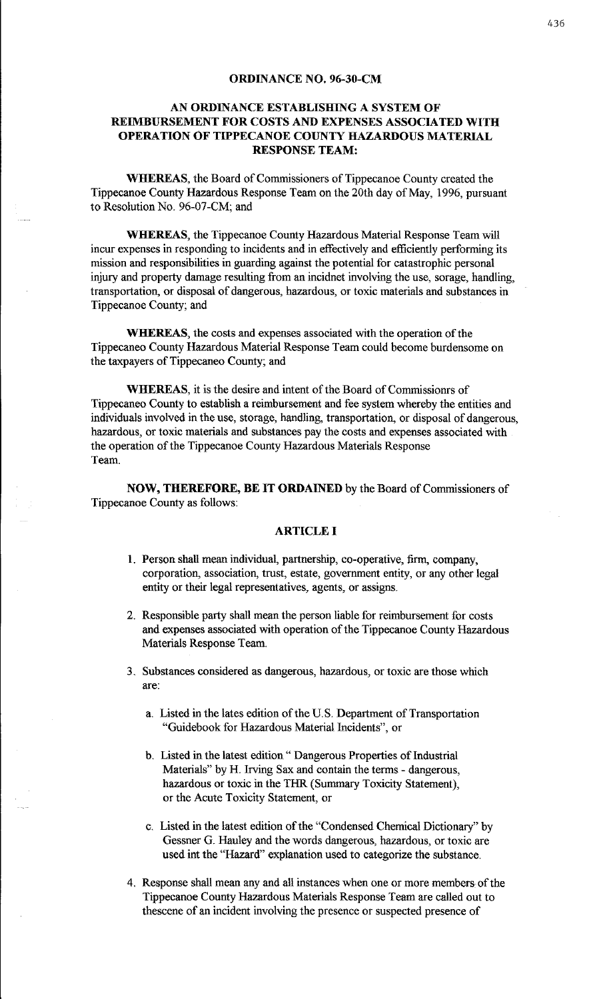#### ORDINANCE NO. 96-30-CM

## AN ORDINANCE ESTABLISHING A SYSTEM OF REIMBURSEMENT FOR COSTS AND EXPENSES ASSOCIATED WITH OPERATION OF TIPPECANOE COUNTY HAZARDOUS MATERIAL RESPONSE TEAM:

WHEREAS, the Board of Commissioners of Tippecanoe County created the Tippecanoe County Hazardous Response Team on the 20th day of May, 1996, pursuant to Resolution No. 96-07-CM; and

WHEREAS, the Tippecanoe County Hazardous Material Response Team will incur expenses in responding to incidents and in effectively and efficiently performing its mission and responsibilities in guarding against the potential for catastrophic personal injury and property damage resulting from an incidnet involving the use, sorage, handling, transportation, or disposal of dangerous, hazardous, or toxic materials and substances in Tippecanoe County; and

WHEREAS, the costs and expenses associated with the operation of the Tippecaneo County Hazardous Material Response Team could become burdensome on the taxpayers of Tippecaneo County; and

WHEREAS, it is the desire and intent of the Board of Commissionrs of Tippecaneo County to establish a reimbursement and fee system whereby the entities and individuals involved in the use, storage, handling, transportation, or disposal of dangerous, hazardous, or toxic materials and substances pay the costs and expenses associated with the operation of the Tippecanoe County Hazardous Materials Response Team.

NOW, THEREFORE, BE IT ORDAINED by the Board of Commissioners of Tippecanoe County as follows:

## ARTICLE I

- L Person shall mean individual, partnership, co-operative, firm, company, corporation, association, trust, estate, government entity, or any other legal entity or their legal representatives, agents, or assigns.
- 2. Responsible party shall mean the person liable for reimbursement for costs and expenses associated with operation of the Tippecanoe County Hazardous Materials Response Team.
- 3. Substances considered as dangerous, hazardous, or toxic are those which are:
	- a. Listed in the lates edition of the U.S. Department of Transportation "Guidebook for Hazardous Material Incidents", or
	- b. Listed in the latest edition " Dangerous Properties of Industrial Materials" by H. Irving Sax and contain the terms - dangerous, hazardous or toxic in the THR (Summary Toxicity Statement), or the Acute Toxicity Statement, or
	- c. Listed in the latest edition of the "Condensed Chemical Dictionary" by Gessner G. Hauley and the words dangerous, hazardous, or toxic are used int the "Hazard" explanation used to categorize the substance.
- 4. Response shall mean any and all instances when one or more members of the Tippecanoe County Hazardous Materials Response Team are called out to thescene of an incident involving the presence or suspected presence of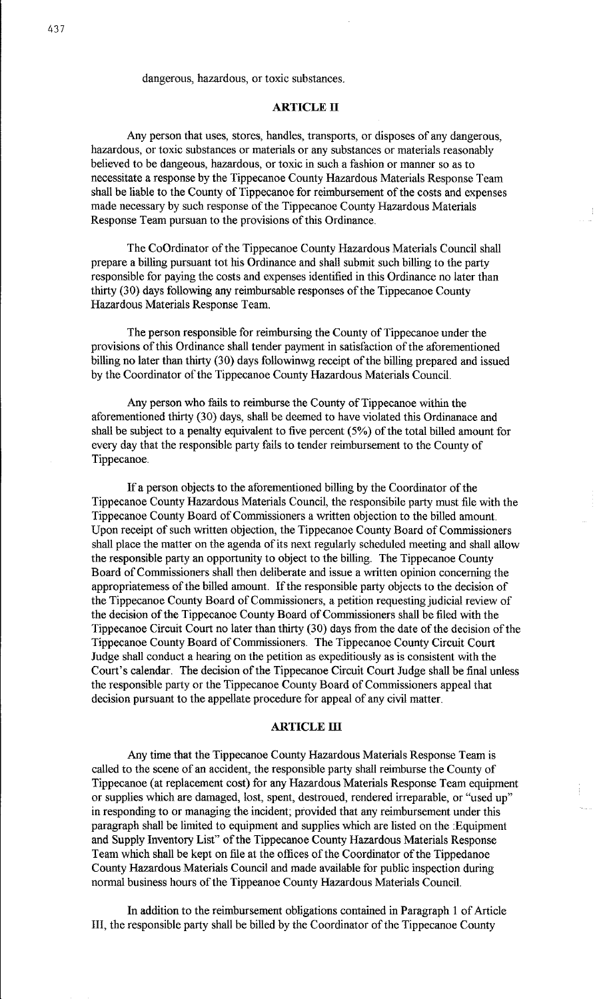## dangerous, hazardous, or toxic substances.

### **ARTICLE II**

Any person that uses, stores, handles, transports, or disposes of any dangerous, hazardous, or toxic substances or materials or any substances or materials reasonably believed to be dangeous, hazardous, or toxic in such a fashion or manner so as to necessitate a response by the Tippecanoe County Hazardous Materials Response Team shall be liable to the County of Tippecanoe for reimbursement of the costs and expenses made necessary by such response of the Tippecanoe County Hazardous Materials Response Team pursuan to the provisions of this Ordinance.

The CoOrdinator of the Tippecanoe County Hazardous Materials Council shall prepare a billing pursuant tot his Ordinance and shall submit such billing to the party responsible for paying the costs and expenses identified in this Ordinance no later than thirty (30) days following any reimbursable responses of the Tippecanoe County Hazardous Materials Response Team.

The person responsible for reimbursing the County of Tippecanoe under the provisions of this Ordinance shall tender payment in satisfaction of the aforementioned billing no later than thirty (30) days followinwg receipt of the billing prepared and issued by the Coordinator of the Tippecanoe County Hazardous Materials Council.

Any person who fails to reimburse the County of Tippecanoe within the aforementioned thirty (30) days, shall be deemed to have violated this Ordinanace and shall be subject to a penalty equivalent to five percent ( 5%) of the total billed amount for every day that the responsible party fails to tender reimbursement to the County of Tippecanoe.

If a person objects to the aforementioned billing by the Coordinator of the Tippecanoe County Hazardous Materials Council, the responsibile party must file with the Tippecanoe County Board of Commissioners a written objection to the billed amount. Upon receipt of such written objection, the Tippecanoe County Board of Commissioners shall place the matter on the agenda of its next regularly scheduled meeting and shall allow the responsible party an opportunity to object to the billing. The Tippecanoe County Board of Commissioners shall then deliberate and issue a written opinion concerning the appropriatemess of the billed amount. If the responsible party objects to the decision of the Tippecanoe County Board of Commissioners, a petition requesting judicial review of the decision of the Tippecanoe County Board of Commissioners shall be filed with the Tippecanoe Circuit Court no later than thirty (30) days from the date of the decision of the Tippecanoe County Board of Commissioners. The Tippecanoe County Circuit Court Judge shall conduct a hearing on the petition as expeditiously as is consistent with the Court's calendar. The decision of the Tippecanoe Circuit Court Judge shall be final unless the responsible party or the Tippecanoe County Board of Commissioners appeal that decision pursuant to the appellate procedure for appeal of any civil matter.

#### **ARTICLE III**

Any time that the Tippecanoe County Hazardous Materials Response Team is called to the scene of an accident, the responsible party shall reimburse the County of Tippecanoe (at replacement cost) for any Hazardous Materials Response Team equipment or supplies which are damaged, lost, spent, destroued, rendered irreparable, or "used up" in responding to or managing the incident; provided that any reimbursement under this paragraph shall be limited to equipment and supplies which are listed on the :Equipment and Supply Inventory List" of the Tippecanoe County Hazardous Materials Response Team which shall be kept on file at the offices of the Coordinator of the Tippedanoe County Hazardous Materials Council and made available for public inspection during normal business hours of the Tippeanoe County Hazardous Materials Council.

In addition to the reimbursement obligations contained in Paragraph 1 of Article III, the responsible party shall be billed by the Coordinator of the Tippecanoe County